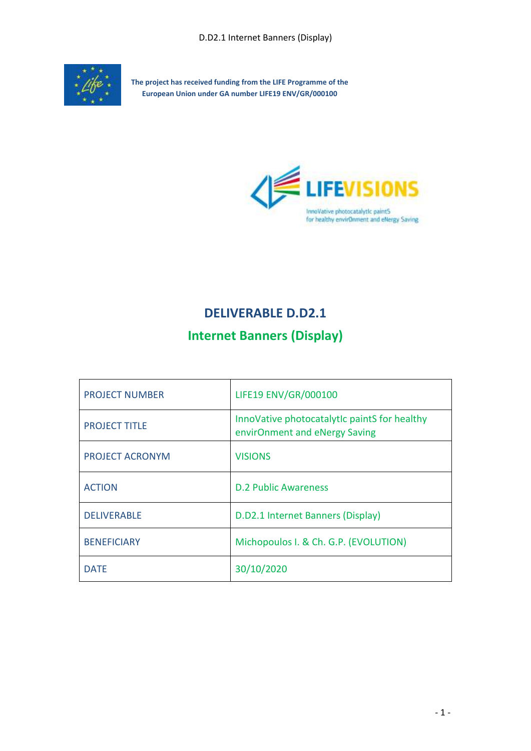

**The project has received funding from the LIFE Programme of the European Union under GA number LIFE19 ENV/GR/000100**



# **DELIVERABLE D.D2.1**

# **Internet Banners (Display)**

| <b>PROJECT NUMBER</b>  | LIFE19 ENV/GR/000100                                                          |
|------------------------|-------------------------------------------------------------------------------|
| <b>PROJECT TITLE</b>   | InnoVative photocatalytic paintS for healthy<br>envirOnment and eNergy Saving |
| <b>PROJECT ACRONYM</b> | <b>VISIONS</b>                                                                |
| <b>ACTION</b>          | <b>D.2 Public Awareness</b>                                                   |
| <b>DELIVERABLE</b>     | D.D2.1 Internet Banners (Display)                                             |
| <b>BENEFICIARY</b>     | Michopoulos I. & Ch. G.P. (EVOLUTION)                                         |
| <b>DATE</b>            | 30/10/2020                                                                    |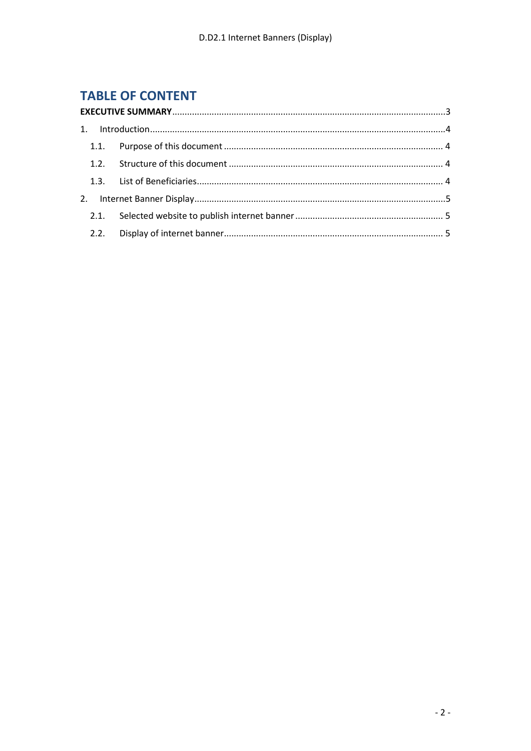# **TABLE OF CONTENT**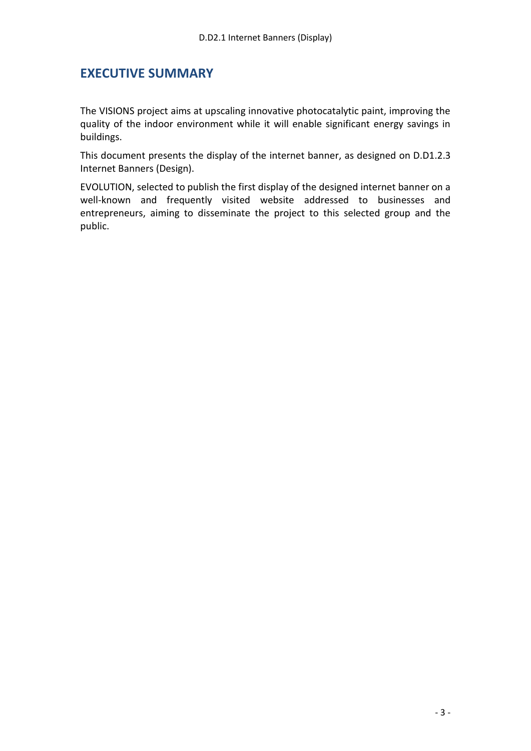#### <span id="page-2-0"></span>**EXECUTIVE SUMMARY**

The VISIONS project aims at upscaling innovative photocatalytic paint, improving the quality of the indoor environment while it will enable significant energy savings in buildings.

This document presents the display of the internet banner, as designed on D.D1.2.3 Internet Banners (Design).

EVOLUTION, selected to publish the first display of the designed internet banner on a well-known and frequently visited website addressed to businesses and entrepreneurs, aiming to disseminate the project to this selected group and the public.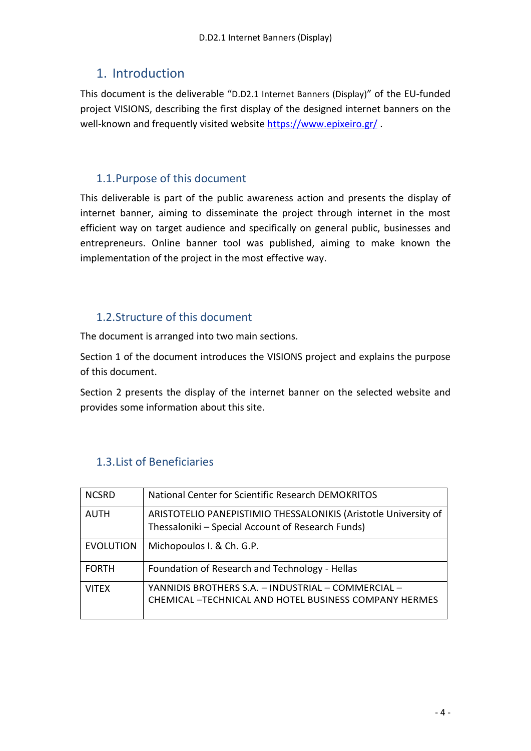## <span id="page-3-0"></span>1. Introduction

This document is the deliverable "D.D2.1 Internet Banners (Display)" of the EU‐funded project VISIONS, describing the first display of the designed internet banners on the well-known and frequently visited website <https://www.epixeiro.gr/> .

### <span id="page-3-1"></span>1.1.Purpose of this document

This deliverable is part of the public awareness action and presents the display of internet banner, aiming to disseminate the project through internet in the most efficient way on target audience and specifically on general public, businesses and entrepreneurs. Online banner tool was published, aiming to make known the implementation of the project in the most effective way.

#### <span id="page-3-2"></span>1.2.Structure of this document

The document is arranged into two main sections.

Section 1 of the document introduces the VISIONS project and explains the purpose of this document.

Section 2 presents the display of the internet banner on the selected website and provides some information about this site.

| <b>NCSRD</b>     | National Center for Scientific Research DEMOKRITOS                                                                   |
|------------------|----------------------------------------------------------------------------------------------------------------------|
| <b>AUTH</b>      | ARISTOTELIO PANEPISTIMIO THESSALONIKIS (Aristotle University of<br>Thessaloniki - Special Account of Research Funds) |
| <b>EVOLUTION</b> | Michopoulos I. & Ch. G.P.                                                                                            |
| <b>FORTH</b>     | Foundation of Research and Technology - Hellas                                                                       |
| <b>VITEX</b>     | YANNIDIS BROTHERS S.A. - INDUSTRIAL - COMMERCIAL -<br><b>CHEMICAL - TECHNICAL AND HOTEL BUSINESS COMPANY HERMES</b>  |

### <span id="page-3-3"></span>1.3.List of Beneficiaries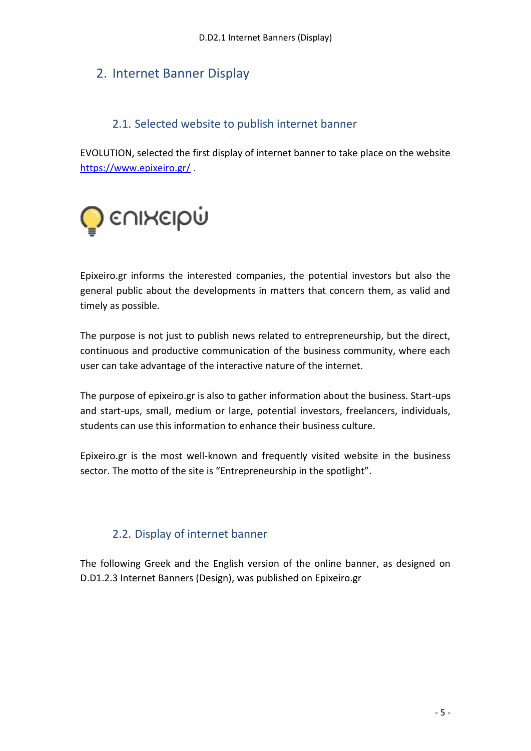## <span id="page-4-0"></span>2. Internet Banner Display

#### 2.1. Selected website to publish internet banner

<span id="page-4-1"></span>EVOLUTION, selected the first display of internet banner to take place on the website <https://www.epixeiro.gr/> .



Epixeiro.gr informs the interested companies, the potential investors but also the general public about the developments in matters that concern them, as valid and timely as possible.

The purpose is not just to publish news related to entrepreneurship, but the direct, continuous and productive communication of the business community, where each user can take advantage of the interactive nature of the internet.

The purpose of epixeiro.gr is also to gather information about the business. Start-ups and start-ups, small, medium or large, potential investors, freelancers, individuals, students can use this information to enhance their business culture.

Epixeiro.gr is the most well-known and frequently visited website in the business sector. The motto of the site is "Entrepreneurship in the spotlight".

#### 2.2. Display of internet banner

<span id="page-4-2"></span>The following Greek and the English version of the online banner, as designed on D.D1.2.3 Internet Banners (Design), was published on Epixeiro.gr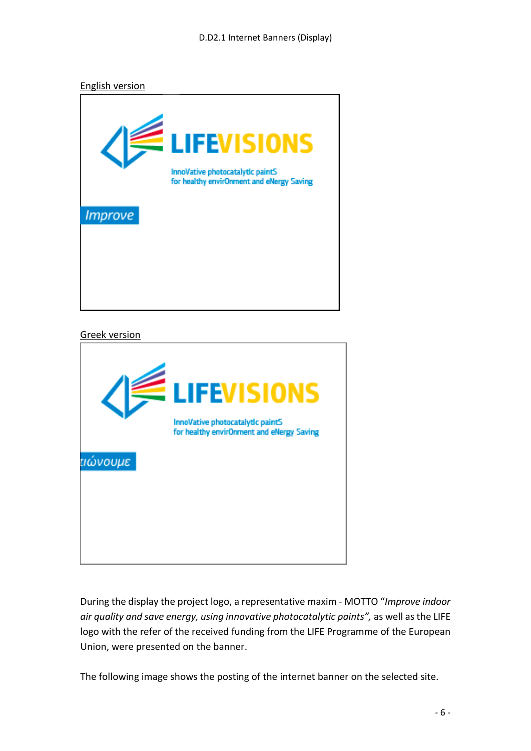English version



#### Greek version



During the display the project logo, a representative maxim - MOTΤO "*Improve indoor air quality and save energy, using innovative photocatalytic paints",* as well as the LIFE logo with the refer of the received funding from the LIFE Programme of the European Union, were presented on the banner.

The following image shows the posting of the internet banner on the selected site.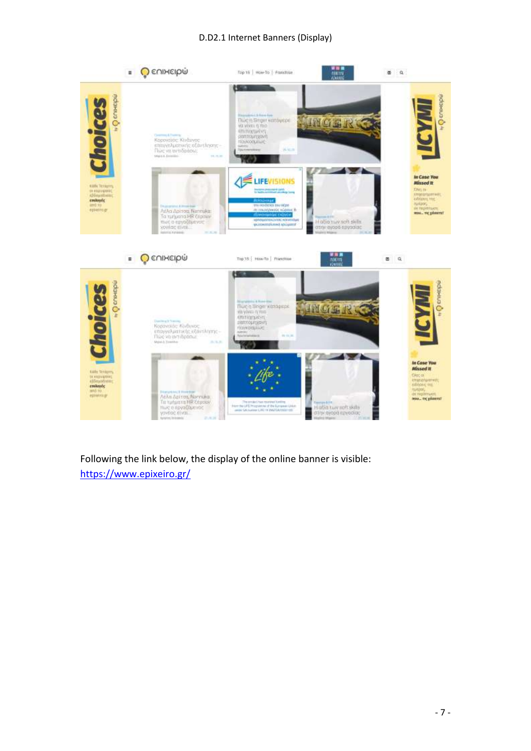#### D.D2.1 Internet Banners (Display)



Following the link below, the display of the online banner is visible: <https://www.epixeiro.gr/>